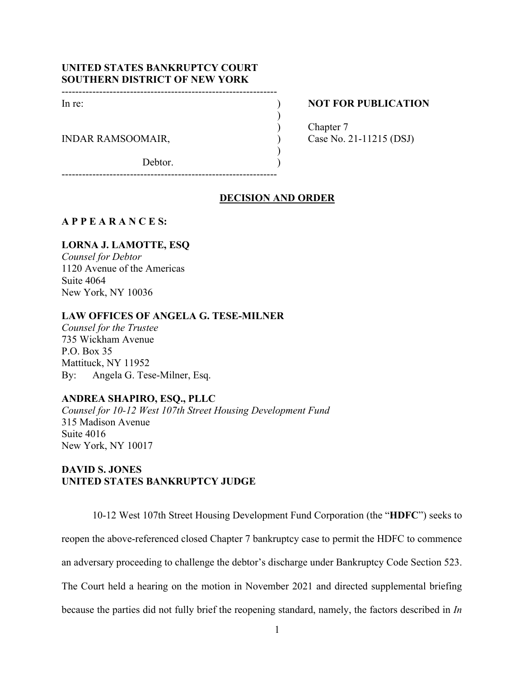## **UNITED STATES BANKRUPTCY COURT SOUTHERN DISTRICT OF NEW YORK**

---------------------------------------------------------------

In re: ) **NOT FOR PUBLICATION** 

INDAR RAMSOOMAIR,  $\qquad \qquad$  (ase No. 21-11215 (DSJ)

Debtor.

) Chapter 7

---------------------------------------------------------------

## **DECISION AND ORDER**

)

)

### **A P P E A R A N C E S:**

## **LORNA J. LAMOTTE, ESQ**

*Counsel for Debtor* 1120 Avenue of the Americas Suite 4064 New York, NY 10036

## **LAW OFFICES OF ANGELA G. TESE-MILNER**

*Counsel for the Trustee*  735 Wickham Avenue P.O. Box 35 Mattituck, NY 11952 By: Angela G. Tese-Milner, Esq.

### **ANDREA SHAPIRO, ESQ., PLLC**

*Counsel for 10-12 West 107th Street Housing Development Fund*  315 Madison Avenue Suite 4016 New York, NY 10017

## **DAVID S. JONES UNITED STATES BANKRUPTCY JUDGE**

10-12 West 107th Street Housing Development Fund Corporation (the "**HDFC**") seeks to reopen the above-referenced closed Chapter 7 bankruptcy case to permit the HDFC to commence an adversary proceeding to challenge the debtor's discharge under Bankruptcy Code Section 523. The Court held a hearing on the motion in November 2021 and directed supplemental briefing because the parties did not fully brief the reopening standard, namely, the factors described in *In*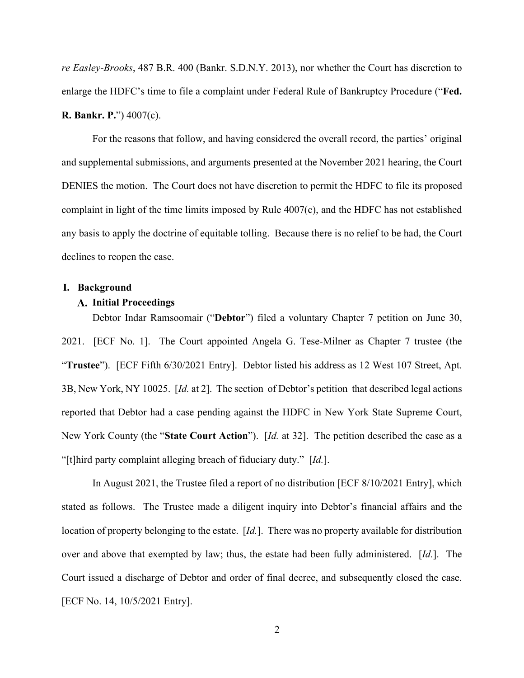*re Easley-Brooks*, 487 B.R. 400 (Bankr. S.D.N.Y. 2013), nor whether the Court has discretion to enlarge the HDFC's time to file a complaint under Federal Rule of Bankruptcy Procedure ("**Fed. R. Bankr. P.**") 4007(c).

For the reasons that follow, and having considered the overall record, the parties' original and supplemental submissions, and arguments presented at the November 2021 hearing, the Court DENIES the motion. The Court does not have discretion to permit the HDFC to file its proposed complaint in light of the time limits imposed by Rule 4007(c), and the HDFC has not established any basis to apply the doctrine of equitable tolling. Because there is no relief to be had, the Court declines to reopen the case.

#### **I. Background**

### **Initial Proceedings**

Debtor Indar Ramsoomair ("**Debtor**") filed a voluntary Chapter 7 petition on June 30, 2021. [ECF No. 1]. The Court appointed Angela G. Tese-Milner as Chapter 7 trustee (the "**Trustee**"). [ECF Fifth 6/30/2021 Entry]. Debtor listed his address as 12 West 107 Street, Apt. 3B, New York, NY 10025. [*Id.* at 2]. The section of Debtor's petition that described legal actions reported that Debtor had a case pending against the HDFC in New York State Supreme Court, New York County (the "**State Court Action**"). [*Id.* at 32]. The petition described the case as a "[t]hird party complaint alleging breach of fiduciary duty." [*Id.*].

In August 2021, the Trustee filed a report of no distribution [ECF 8/10/2021 Entry], which stated as follows. The Trustee made a diligent inquiry into Debtor's financial affairs and the location of property belonging to the estate. [*Id.*]. There was no property available for distribution over and above that exempted by law; thus, the estate had been fully administered. [*Id.*]. The Court issued a discharge of Debtor and order of final decree, and subsequently closed the case. [ECF No. 14, 10/5/2021 Entry].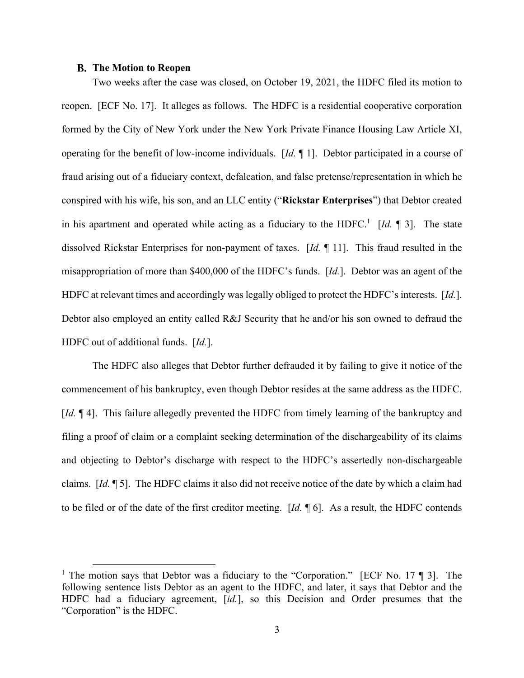#### **The Motion to Reopen**

Two weeks after the case was closed, on October 19, 2021, the HDFC filed its motion to reopen. [ECF No. 17]. It alleges as follows. The HDFC is a residential cooperative corporation formed by the City of New York under the New York Private Finance Housing Law Article XI, operating for the benefit of low-income individuals. [*Id.* ¶ 1]. Debtor participated in a course of fraud arising out of a fiduciary context, defalcation, and false pretense/representation in which he conspired with his wife, his son, and an LLC entity ("**Rickstar Enterprises**") that Debtor created in his apartment and operated while acting as a fiduciary to the HDFC.<sup>1</sup> [*Id.*  $\llbracket$  3]. The state dissolved Rickstar Enterprises for non-payment of taxes. [*Id.* ¶ 11]. This fraud resulted in the misappropriation of more than \$400,000 of the HDFC's funds. [*Id.*]. Debtor was an agent of the HDFC at relevant times and accordingly was legally obliged to protect the HDFC's interests. [*Id.*]. Debtor also employed an entity called R&J Security that he and/or his son owned to defraud the HDFC out of additional funds. [*Id.*].

The HDFC also alleges that Debtor further defrauded it by failing to give it notice of the commencement of his bankruptcy, even though Debtor resides at the same address as the HDFC. [*Id.*  $\llbracket$  4]. This failure allegedly prevented the HDFC from timely learning of the bankruptcy and filing a proof of claim or a complaint seeking determination of the dischargeability of its claims and objecting to Debtor's discharge with respect to the HDFC's assertedly non-dischargeable claims. [*Id.* ¶ 5]. The HDFC claims it also did not receive notice of the date by which a claim had to be filed or of the date of the first creditor meeting. [*Id.* ¶ 6]. As a result, the HDFC contends

<sup>&</sup>lt;sup>1</sup> The motion says that Debtor was a fiduciary to the "Corporation." [ECF No. 17  $\P$  3]. The following sentence lists Debtor as an agent to the HDFC, and later, it says that Debtor and the HDFC had a fiduciary agreement, [*id.*], so this Decision and Order presumes that the "Corporation" is the HDFC.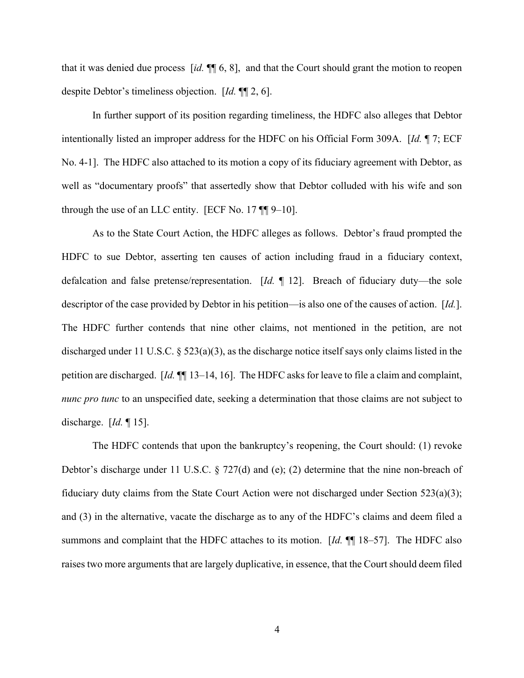that it was denied due process [*id.* ¶¶ 6, 8], and that the Court should grant the motion to reopen despite Debtor's timeliness objection. [*Id.* ¶¶ 2, 6].

In further support of its position regarding timeliness, the HDFC also alleges that Debtor intentionally listed an improper address for the HDFC on his Official Form 309A. [*Id.* ¶ 7; ECF No. 4-1]. The HDFC also attached to its motion a copy of its fiduciary agreement with Debtor, as well as "documentary proofs" that assertedly show that Debtor colluded with his wife and son through the use of an LLC entity. [ECF No. 17  $\P$ ] 9–10].

As to the State Court Action, the HDFC alleges as follows. Debtor's fraud prompted the HDFC to sue Debtor, asserting ten causes of action including fraud in a fiduciary context, defalcation and false pretense/representation. [*Id.* ¶ 12]. Breach of fiduciary duty—the sole descriptor of the case provided by Debtor in his petition—is also one of the causes of action. [*Id.*]. The HDFC further contends that nine other claims, not mentioned in the petition, are not discharged under 11 U.S.C.  $\S 523(a)(3)$ , as the discharge notice itself says only claims listed in the petition are discharged. [*Id.* ¶¶ 13–14, 16]. The HDFC asks for leave to file a claim and complaint, *nunc pro tunc* to an unspecified date, seeking a determination that those claims are not subject to discharge. [*Id.* ¶ 15].

The HDFC contends that upon the bankruptcy's reopening, the Court should: (1) revoke Debtor's discharge under 11 U.S.C. § 727(d) and (e); (2) determine that the nine non-breach of fiduciary duty claims from the State Court Action were not discharged under Section  $523(a)(3)$ ; and (3) in the alternative, vacate the discharge as to any of the HDFC's claims and deem filed a summons and complaint that the HDFC attaches to its motion. [*Id.* ¶¶ 18–57]. The HDFC also raises two more arguments that are largely duplicative, in essence, that the Court should deem filed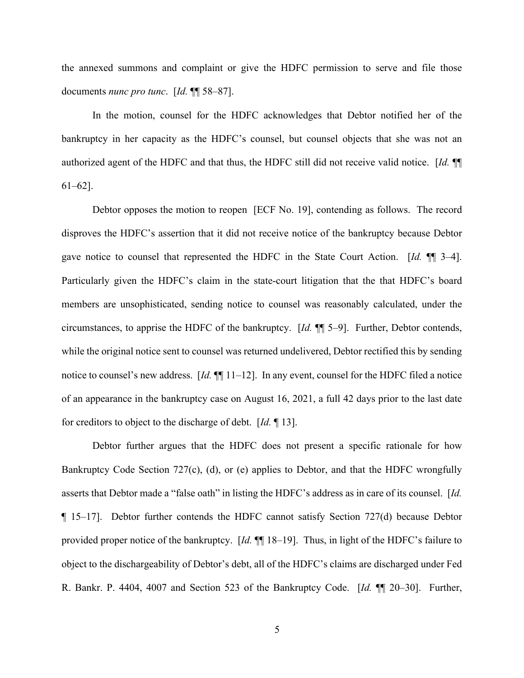the annexed summons and complaint or give the HDFC permission to serve and file those documents *nunc pro tunc*. [*Id.* ¶¶ 58–87].

In the motion, counsel for the HDFC acknowledges that Debtor notified her of the bankruptcy in her capacity as the HDFC's counsel, but counsel objects that she was not an authorized agent of the HDFC and that thus, the HDFC still did not receive valid notice. [*Id.* ¶¶ 61–62].

Debtor opposes the motion to reopen [ECF No. 19], contending as follows. The record disproves the HDFC's assertion that it did not receive notice of the bankruptcy because Debtor gave notice to counsel that represented the HDFC in the State Court Action. [*Id.* ¶¶ 3–4]. Particularly given the HDFC's claim in the state-court litigation that the that HDFC's board members are unsophisticated, sending notice to counsel was reasonably calculated, under the circumstances, to apprise the HDFC of the bankruptcy. [*Id.* ¶¶ 5–9]. Further, Debtor contends, while the original notice sent to counsel was returned undelivered, Debtor rectified this by sending notice to counsel's new address. [*Id.* ¶¶ 11–12]. In any event, counsel for the HDFC filed a notice of an appearance in the bankruptcy case on August 16, 2021, a full 42 days prior to the last date for creditors to object to the discharge of debt. [*Id.* ¶ 13].

Debtor further argues that the HDFC does not present a specific rationale for how Bankruptcy Code Section 727(c), (d), or (e) applies to Debtor, and that the HDFC wrongfully asserts that Debtor made a "false oath" in listing the HDFC's address as in care of its counsel. [*Id.*  ¶ 15–17]. Debtor further contends the HDFC cannot satisfy Section 727(d) because Debtor provided proper notice of the bankruptcy. [*Id.* ¶¶ 18–19]. Thus, in light of the HDFC's failure to object to the dischargeability of Debtor's debt, all of the HDFC's claims are discharged under Fed R. Bankr. P. 4404, 4007 and Section 523 of the Bankruptcy Code. [*Id.* ¶¶ 20–30]. Further,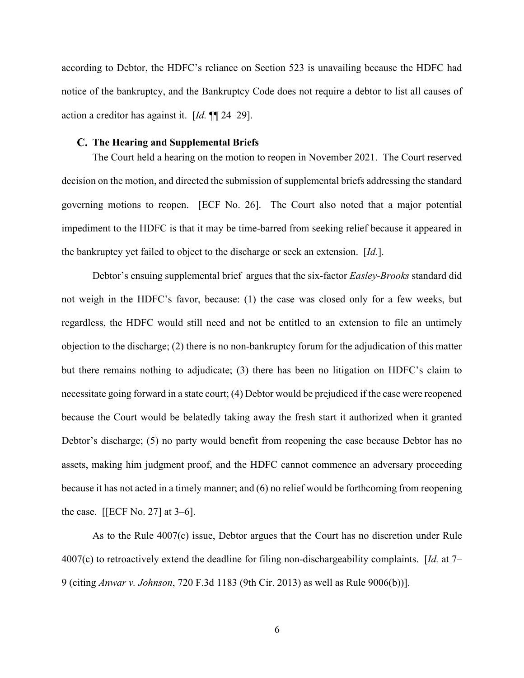according to Debtor, the HDFC's reliance on Section 523 is unavailing because the HDFC had notice of the bankruptcy, and the Bankruptcy Code does not require a debtor to list all causes of action a creditor has against it. [*Id.* ¶¶ 24–29].

#### **The Hearing and Supplemental Briefs**

The Court held a hearing on the motion to reopen in November 2021. The Court reserved decision on the motion, and directed the submission of supplemental briefs addressing the standard governing motions to reopen. [ECF No. 26]. The Court also noted that a major potential impediment to the HDFC is that it may be time-barred from seeking relief because it appeared in the bankruptcy yet failed to object to the discharge or seek an extension. [*Id.*].

Debtor's ensuing supplemental brief argues that the six-factor *Easley-Brooks* standard did not weigh in the HDFC's favor, because: (1) the case was closed only for a few weeks, but regardless, the HDFC would still need and not be entitled to an extension to file an untimely objection to the discharge; (2) there is no non-bankruptcy forum for the adjudication of this matter but there remains nothing to adjudicate; (3) there has been no litigation on HDFC's claim to necessitate going forward in a state court; (4) Debtor would be prejudiced if the case were reopened because the Court would be belatedly taking away the fresh start it authorized when it granted Debtor's discharge; (5) no party would benefit from reopening the case because Debtor has no assets, making him judgment proof, and the HDFC cannot commence an adversary proceeding because it has not acted in a timely manner; and (6) no relief would be forthcoming from reopening the case.  $[[ECF No. 27]$  at 3–6].

As to the Rule 4007(c) issue, Debtor argues that the Court has no discretion under Rule 4007(c) to retroactively extend the deadline for filing non-dischargeability complaints. [*Id.* at 7– 9 (citing *Anwar v. Johnson*, 720 F.3d 1183 (9th Cir. 2013) as well as Rule 9006(b))].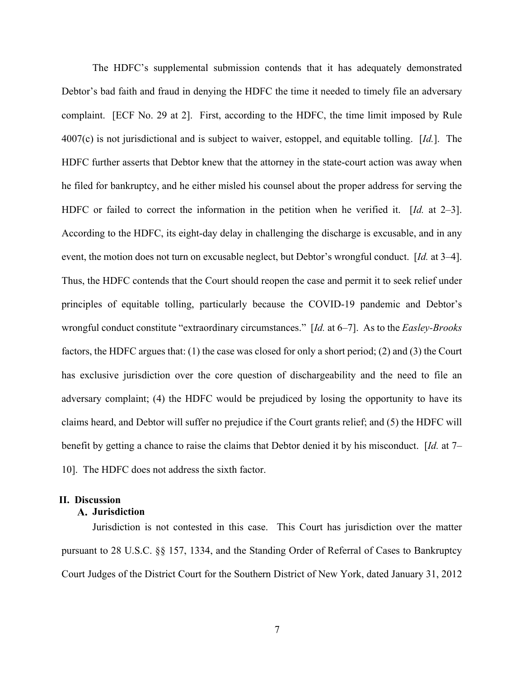The HDFC's supplemental submission contends that it has adequately demonstrated Debtor's bad faith and fraud in denying the HDFC the time it needed to timely file an adversary complaint. [ECF No. 29 at 2]. First, according to the HDFC, the time limit imposed by Rule 4007(c) is not jurisdictional and is subject to waiver, estoppel, and equitable tolling. [*Id.*]. The HDFC further asserts that Debtor knew that the attorney in the state-court action was away when he filed for bankruptcy, and he either misled his counsel about the proper address for serving the HDFC or failed to correct the information in the petition when he verified it. [*Id.* at 2–3]. According to the HDFC, its eight-day delay in challenging the discharge is excusable, and in any event, the motion does not turn on excusable neglect, but Debtor's wrongful conduct. [*Id.* at 3–4]. Thus, the HDFC contends that the Court should reopen the case and permit it to seek relief under principles of equitable tolling, particularly because the COVID-19 pandemic and Debtor's wrongful conduct constitute "extraordinary circumstances." [*Id.* at 6–7]. As to the *Easley-Brooks* factors, the HDFC argues that: (1) the case was closed for only a short period; (2) and (3) the Court has exclusive jurisdiction over the core question of dischargeability and the need to file an adversary complaint; (4) the HDFC would be prejudiced by losing the opportunity to have its claims heard, and Debtor will suffer no prejudice if the Court grants relief; and (5) the HDFC will benefit by getting a chance to raise the claims that Debtor denied it by his misconduct. [*Id.* at 7– 10]. The HDFC does not address the sixth factor.

# **II. Discussion**

## **Jurisdiction**

Jurisdiction is not contested in this case. This Court has jurisdiction over the matter pursuant to 28 U.S.C. §§ 157, 1334, and the Standing Order of Referral of Cases to Bankruptcy Court Judges of the District Court for the Southern District of New York, dated January 31, 2012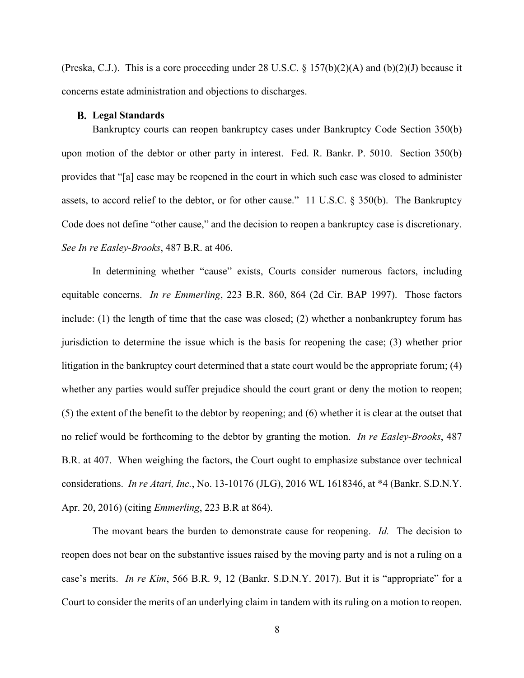(Preska, C.J.). This is a core proceeding under 28 U.S.C. § 157(b)(2)(A) and (b)(2)(J) because it concerns estate administration and objections to discharges.

#### **Legal Standards**

Bankruptcy courts can reopen bankruptcy cases under Bankruptcy Code Section 350(b) upon motion of the debtor or other party in interest. Fed. R. Bankr. P. 5010. Section 350(b) provides that "[a] case may be reopened in the court in which such case was closed to administer assets, to accord relief to the debtor, or for other cause." 11 U.S.C. § 350(b). The Bankruptcy Code does not define "other cause," and the decision to reopen a bankruptcy case is discretionary. *See In re Easley-Brooks*, 487 B.R. at 406.

In determining whether "cause" exists, Courts consider numerous factors, including equitable concerns. *In re Emmerling*, 223 B.R. 860, 864 (2d Cir. BAP 1997). Those factors include: (1) the length of time that the case was closed; (2) whether a nonbankruptcy forum has jurisdiction to determine the issue which is the basis for reopening the case; (3) whether prior litigation in the bankruptcy court determined that a state court would be the appropriate forum; (4) whether any parties would suffer prejudice should the court grant or deny the motion to reopen; (5) the extent of the benefit to the debtor by reopening; and (6) whether it is clear at the outset that no relief would be forthcoming to the debtor by granting the motion. *In re Easley-Brooks*, 487 B.R. at 407. When weighing the factors, the Court ought to emphasize substance over technical considerations. *In re Atari, Inc.*, No. 13-10176 (JLG), 2016 WL 1618346, at \*4 (Bankr. S.D.N.Y. Apr. 20, 2016) (citing *Emmerling*, 223 B.R at 864).

The movant bears the burden to demonstrate cause for reopening. *Id.* The decision to reopen does not bear on the substantive issues raised by the moving party and is not a ruling on a case's merits. *In re Kim*, 566 B.R. 9, 12 (Bankr. S.D.N.Y. 2017). But it is "appropriate" for a Court to consider the merits of an underlying claim in tandem with its ruling on a motion to reopen.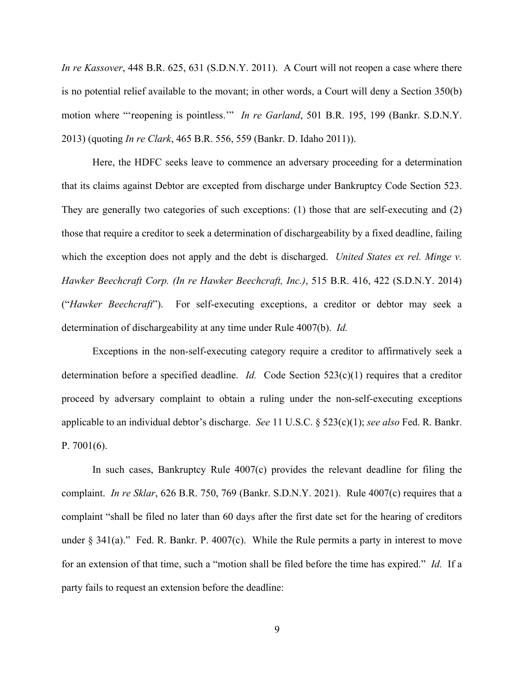*In re Kassover*, 448 B.R. 625, 631 (S.D.N.Y. 2011). A Court will not reopen a case where there is no potential relief available to the movant; in other words, a Court will deny a Section 350(b) motion where "'reopening is pointless.'" *In re Garland*, 501 B.R. 195, 199 (Bankr. S.D.N.Y. 2013) (quoting *In re Clark*, 465 B.R. 556, 559 (Bankr. D. Idaho 2011)).

Here, the HDFC seeks leave to commence an adversary proceeding for a determination that its claims against Debtor are excepted from discharge under Bankruptcy Code Section 523. They are generally two categories of such exceptions: (1) those that are self-executing and (2) those that require a creditor to seek a determination of dischargeability by a fixed deadline, failing which the exception does not apply and the debt is discharged. *United States ex rel. Minge v. Hawker Beechcraft Corp. (In re Hawker Beechcraft, Inc.)*, 515 B.R. 416, 422 (S.D.N.Y. 2014) ("*Hawker Beechcraft*"). For self-executing exceptions, a creditor or debtor may seek a determination of dischargeability at any time under Rule 4007(b). *Id.*

Exceptions in the non-self-executing category require a creditor to affirmatively seek a determination before a specified deadline. *Id.* Code Section 523(c)(1) requires that a creditor proceed by adversary complaint to obtain a ruling under the non-self-executing exceptions applicable to an individual debtor's discharge. *See* 11 U.S.C. § 523(c)(1); *see also* Fed. R. Bankr. P. 7001(6).

In such cases, Bankruptcy Rule 4007(c) provides the relevant deadline for filing the complaint. *In re Sklar*, 626 B.R. 750, 769 (Bankr. S.D.N.Y. 2021). Rule 4007(c) requires that a complaint "shall be filed no later than 60 days after the first date set for the hearing of creditors under  $\S 341(a)$ ." Fed. R. Bankr. P. 4007(c). While the Rule permits a party in interest to move for an extension of that time, such a "motion shall be filed before the time has expired." *Id.* If a party fails to request an extension before the deadline: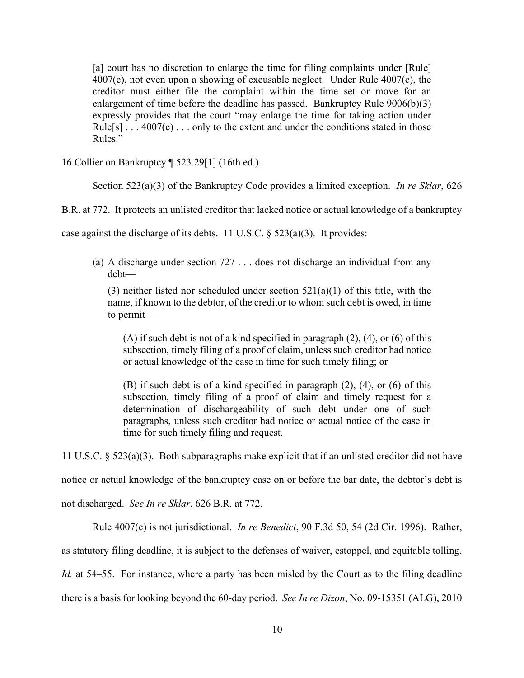[a] court has no discretion to enlarge the time for filing complaints under [Rule] 4007(c), not even upon a showing of excusable neglect. Under Rule 4007(c), the creditor must either file the complaint within the time set or move for an enlargement of time before the deadline has passed. Bankruptcy Rule 9006(b)(3) expressly provides that the court "may enlarge the time for taking action under Rule[s]  $\dots$  4007(c)  $\dots$  only to the extent and under the conditions stated in those Rules."

16 Collier on Bankruptcy ¶ 523.29[1] (16th ed.).

Section 523(a)(3) of the Bankruptcy Code provides a limited exception. *In re Sklar*, 626

B.R. at 772. It protects an unlisted creditor that lacked notice or actual knowledge of a bankruptcy

case against the discharge of its debts. 11 U.S.C. § 523(a)(3). It provides:

(a) A discharge under section 727 . . . does not discharge an individual from any debt—

(3) neither listed nor scheduled under section  $521(a)(1)$  of this title, with the name, if known to the debtor, of the creditor to whom such debt is owed, in time to permit—

(A) if such debt is not of a kind specified in paragraph (2), (4), or (6) of this subsection, timely filing of a proof of claim, unless such creditor had notice or actual knowledge of the case in time for such timely filing; or

(B) if such debt is of a kind specified in paragraph (2), (4), or (6) of this subsection, timely filing of a proof of claim and timely request for a determination of dischargeability of such debt under one of such paragraphs, unless such creditor had notice or actual notice of the case in time for such timely filing and request.

11 U.S.C. § 523(a)(3). Both subparagraphs make explicit that if an unlisted creditor did not have notice or actual knowledge of the bankruptcy case on or before the bar date, the debtor's debt is not discharged. *See In re Sklar*, 626 B.R. at 772.

Rule 4007(c) is not jurisdictional. *In re Benedict*, 90 F.3d 50, 54 (2d Cir. 1996). Rather, as statutory filing deadline, it is subject to the defenses of waiver, estoppel, and equitable tolling. *Id.* at 54–55. For instance, where a party has been misled by the Court as to the filing deadline there is a basis for looking beyond the 60-day period. *See In re Dizon*, No. 09-15351 (ALG), 2010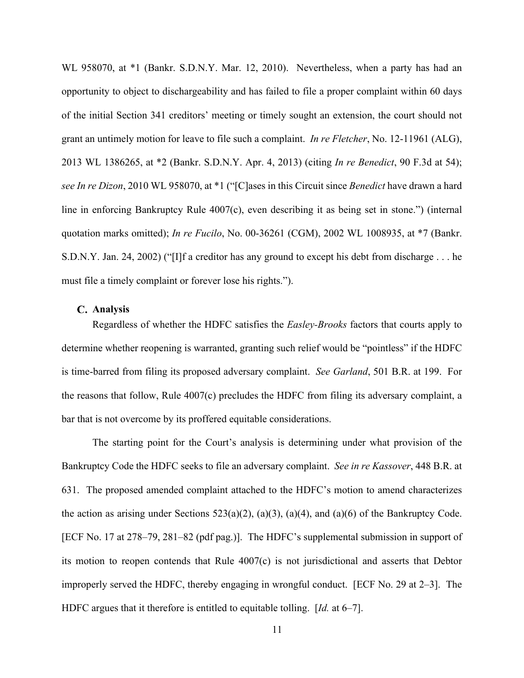WL 958070, at \*1 (Bankr. S.D.N.Y. Mar. 12, 2010). Nevertheless, when a party has had an opportunity to object to dischargeability and has failed to file a proper complaint within 60 days of the initial Section 341 creditors' meeting or timely sought an extension, the court should not grant an untimely motion for leave to file such a complaint. *In re Fletcher*, No. 12-11961 (ALG), 2013 WL 1386265, at \*2 (Bankr. S.D.N.Y. Apr. 4, 2013) (citing *In re Benedict*, 90 F.3d at 54); *see In re Dizon*, 2010 WL 958070, at \*1 ("[C]ases in this Circuit since *Benedict* have drawn a hard line in enforcing Bankruptcy Rule 4007(c), even describing it as being set in stone.") (internal quotation marks omitted); *In re Fucilo*, No. 00-36261 (CGM), 2002 WL 1008935, at \*7 (Bankr. S.D.N.Y. Jan. 24, 2002) ("[I]f a creditor has any ground to except his debt from discharge . . . he must file a timely complaint or forever lose his rights.").

### **Analysis**

Regardless of whether the HDFC satisfies the *Easley-Brooks* factors that courts apply to determine whether reopening is warranted, granting such relief would be "pointless" if the HDFC is time-barred from filing its proposed adversary complaint. *See Garland*, 501 B.R. at 199. For the reasons that follow, Rule 4007(c) precludes the HDFC from filing its adversary complaint, a bar that is not overcome by its proffered equitable considerations.

The starting point for the Court's analysis is determining under what provision of the Bankruptcy Code the HDFC seeks to file an adversary complaint. *See in re Kassover*, 448 B.R. at 631. The proposed amended complaint attached to the HDFC's motion to amend characterizes the action as arising under Sections 523(a)(2), (a)(3), (a)(4), and (a)(6) of the Bankruptcy Code. [ECF No. 17 at 278–79, 281–82 (pdf pag.)]. The HDFC's supplemental submission in support of its motion to reopen contends that Rule 4007(c) is not jurisdictional and asserts that Debtor improperly served the HDFC, thereby engaging in wrongful conduct. [ECF No. 29 at 2–3]. The HDFC argues that it therefore is entitled to equitable tolling. [*Id.* at 6–7].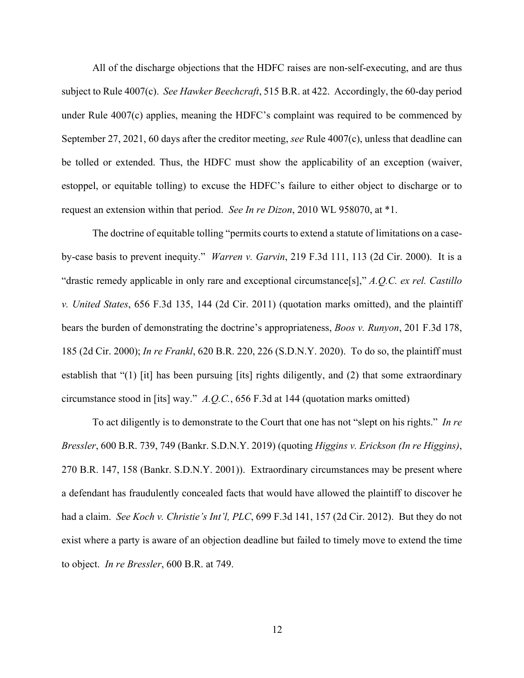All of the discharge objections that the HDFC raises are non-self-executing, and are thus subject to Rule 4007(c). *See Hawker Beechcraft*, 515 B.R. at 422. Accordingly, the 60-day period under Rule 4007(c) applies, meaning the HDFC's complaint was required to be commenced by September 27, 2021, 60 days after the creditor meeting, *see* Rule 4007(c), unless that deadline can be tolled or extended. Thus, the HDFC must show the applicability of an exception (waiver, estoppel, or equitable tolling) to excuse the HDFC's failure to either object to discharge or to request an extension within that period. *See In re Dizon*, 2010 WL 958070, at \*1.

The doctrine of equitable tolling "permits courts to extend a statute of limitations on a caseby-case basis to prevent inequity." *Warren v. Garvin*, 219 F.3d 111, 113 (2d Cir. 2000). It is a "drastic remedy applicable in only rare and exceptional circumstance[s]," *A.Q.C. ex rel. Castillo v. United States*, 656 F.3d 135, 144 (2d Cir. 2011) (quotation marks omitted), and the plaintiff bears the burden of demonstrating the doctrine's appropriateness, *Boos v. Runyon*, 201 F.3d 178, 185 (2d Cir. 2000); *In re Frankl*, 620 B.R. 220, 226 (S.D.N.Y. 2020). To do so, the plaintiff must establish that "(1) [it] has been pursuing [its] rights diligently, and (2) that some extraordinary circumstance stood in [its] way." *A.Q.C.*, 656 F.3d at 144 (quotation marks omitted)

To act diligently is to demonstrate to the Court that one has not "slept on his rights." *In re Bressler*, 600 B.R. 739, 749 (Bankr. S.D.N.Y. 2019) (quoting *Higgins v. Erickson (In re Higgins)*, 270 B.R. 147, 158 (Bankr. S.D.N.Y. 2001)). Extraordinary circumstances may be present where a defendant has fraudulently concealed facts that would have allowed the plaintiff to discover he had a claim. *See Koch v. Christie's Int'l, PLC*, 699 F.3d 141, 157 (2d Cir. 2012). But they do not exist where a party is aware of an objection deadline but failed to timely move to extend the time to object. *In re Bressler*, 600 B.R. at 749.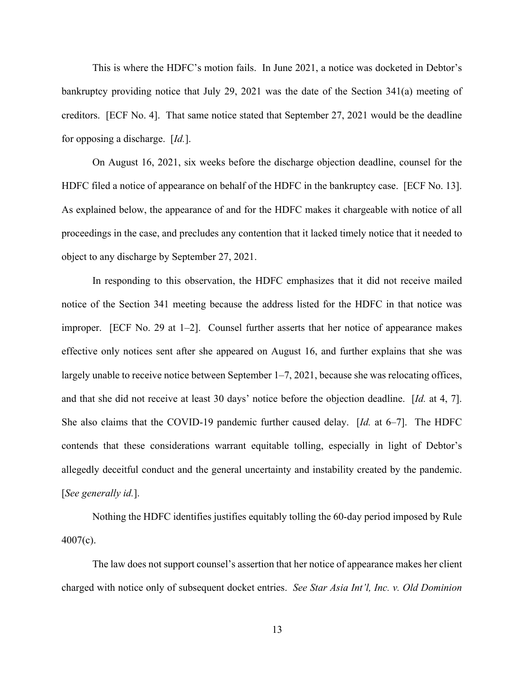This is where the HDFC's motion fails. In June 2021, a notice was docketed in Debtor's bankruptcy providing notice that July 29, 2021 was the date of the Section 341(a) meeting of creditors. [ECF No. 4]. That same notice stated that September 27, 2021 would be the deadline for opposing a discharge. [*Id.*].

On August 16, 2021, six weeks before the discharge objection deadline, counsel for the HDFC filed a notice of appearance on behalf of the HDFC in the bankruptcy case. [ECF No. 13]. As explained below, the appearance of and for the HDFC makes it chargeable with notice of all proceedings in the case, and precludes any contention that it lacked timely notice that it needed to object to any discharge by September 27, 2021.

In responding to this observation, the HDFC emphasizes that it did not receive mailed notice of the Section 341 meeting because the address listed for the HDFC in that notice was improper. [ECF No. 29 at 1–2]. Counsel further asserts that her notice of appearance makes effective only notices sent after she appeared on August 16, and further explains that she was largely unable to receive notice between September 1–7, 2021, because she was relocating offices, and that she did not receive at least 30 days' notice before the objection deadline. [*Id.* at 4, 7]. She also claims that the COVID-19 pandemic further caused delay. [*Id.* at 6–7]. The HDFC contends that these considerations warrant equitable tolling, especially in light of Debtor's allegedly deceitful conduct and the general uncertainty and instability created by the pandemic. [*See generally id.*].

Nothing the HDFC identifies justifies equitably tolling the 60-day period imposed by Rule 4007(c).

The law does not support counsel's assertion that her notice of appearance makes her client charged with notice only of subsequent docket entries. *See Star Asia Int'l, Inc. v. Old Dominion*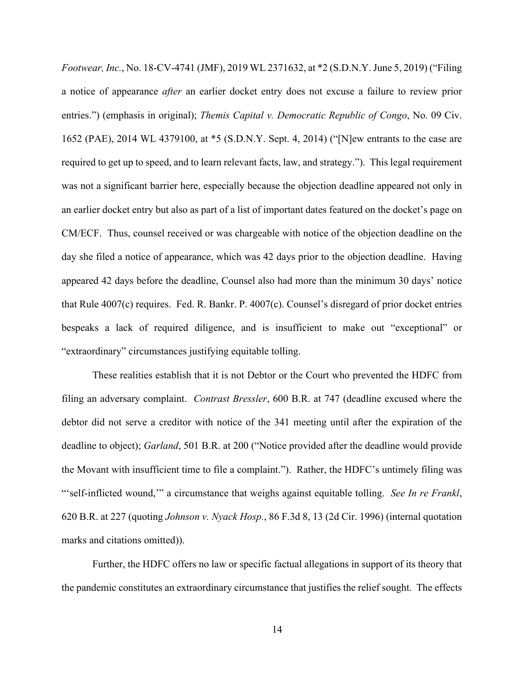*Footwear, Inc.*, No. 18-CV-4741 (JMF), 2019 WL 2371632, at \*2 (S.D.N.Y. June 5, 2019) ("Filing a notice of appearance *after* an earlier docket entry does not excuse a failure to review prior entries.") (emphasis in original); *Themis Capital v. Democratic Republic of Congo*, No. 09 Civ. 1652 (PAE), 2014 WL 4379100, at \*5 (S.D.N.Y. Sept. 4, 2014) ("[N]ew entrants to the case are required to get up to speed, and to learn relevant facts, law, and strategy."). This legal requirement was not a significant barrier here, especially because the objection deadline appeared not only in an earlier docket entry but also as part of a list of important dates featured on the docket's page on CM/ECF. Thus, counsel received or was chargeable with notice of the objection deadline on the day she filed a notice of appearance, which was 42 days prior to the objection deadline. Having appeared 42 days before the deadline, Counsel also had more than the minimum 30 days' notice that Rule 4007(c) requires. Fed. R. Bankr. P. 4007(c). Counsel's disregard of prior docket entries bespeaks a lack of required diligence, and is insufficient to make out "exceptional" or "extraordinary" circumstances justifying equitable tolling.

These realities establish that it is not Debtor or the Court who prevented the HDFC from filing an adversary complaint. *Contrast Bressler*, 600 B.R. at 747 (deadline excused where the debtor did not serve a creditor with notice of the 341 meeting until after the expiration of the deadline to object); *Garland*, 501 B.R. at 200 ("Notice provided after the deadline would provide the Movant with insufficient time to file a complaint."). Rather, the HDFC's untimely filing was "'self-inflicted wound,'" a circumstance that weighs against equitable tolling. *See In re Frankl*, 620 B.R. at 227 (quoting *Johnson v. Nyack Hosp.*, 86 F.3d 8, 13 (2d Cir. 1996) (internal quotation marks and citations omitted)).

Further, the HDFC offers no law or specific factual allegations in support of its theory that the pandemic constitutes an extraordinary circumstance that justifies the relief sought. The effects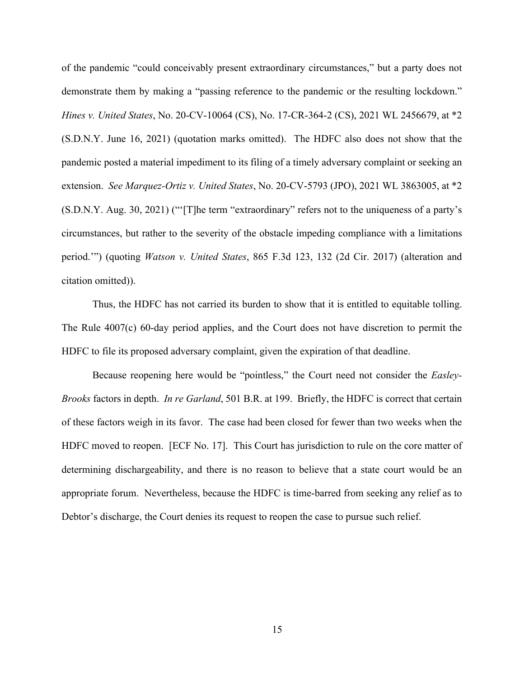of the pandemic "could conceivably present extraordinary circumstances," but a party does not demonstrate them by making a "passing reference to the pandemic or the resulting lockdown." *Hines v. United States*, No. 20-CV-10064 (CS), No. 17-CR-364-2 (CS), 2021 WL 2456679, at \*2 (S.D.N.Y. June 16, 2021) (quotation marks omitted). The HDFC also does not show that the pandemic posted a material impediment to its filing of a timely adversary complaint or seeking an extension. *See Marquez-Ortiz v. United States*, No. 20-CV-5793 (JPO), 2021 WL 3863005, at \*2 (S.D.N.Y. Aug. 30, 2021) ("'[T]he term "extraordinary" refers not to the uniqueness of a party's circumstances, but rather to the severity of the obstacle impeding compliance with a limitations period.'") (quoting *Watson v. United States*, 865 F.3d 123, 132 (2d Cir. 2017) (alteration and citation omitted)).

Thus, the HDFC has not carried its burden to show that it is entitled to equitable tolling. The Rule 4007(c) 60-day period applies, and the Court does not have discretion to permit the HDFC to file its proposed adversary complaint, given the expiration of that deadline.

Because reopening here would be "pointless," the Court need not consider the *Easley-Brooks* factors in depth. *In re Garland*, 501 B.R. at 199. Briefly, the HDFC is correct that certain of these factors weigh in its favor. The case had been closed for fewer than two weeks when the HDFC moved to reopen. [ECF No. 17]. This Court has jurisdiction to rule on the core matter of determining dischargeability, and there is no reason to believe that a state court would be an appropriate forum. Nevertheless, because the HDFC is time-barred from seeking any relief as to Debtor's discharge, the Court denies its request to reopen the case to pursue such relief.